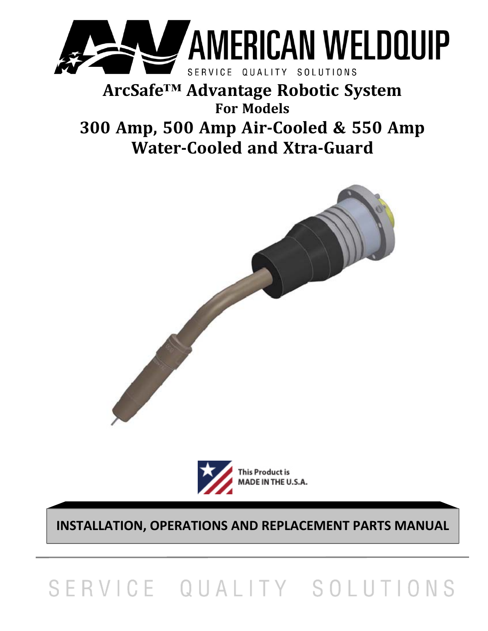

# **ArcSafe™ Advantage Robotic System For Models 300 Amp, 500 Amp Air‐Cooled & 550 Amp Water‐Cooled and Xtra‐Guard**





**INSTALLATION, OPERATIONS AND REPLACEMENT PARTS MANUAL** 

# SERVICE QUALITY SOLUTIONS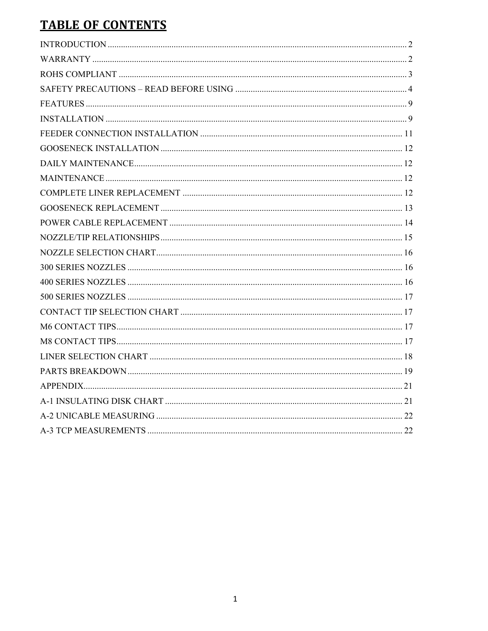# **TABLE OF CONTENTS**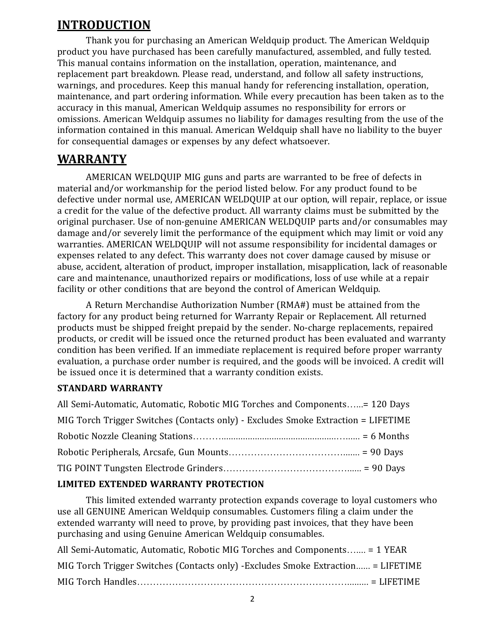# **INTRODUCTION**

Thank you for purchasing an American Weldquip product. The American Weldquip product you have purchased has been carefully manufactured, assembled, and fully tested. This manual contains information on the installation, operation, maintenance, and replacement part breakdown. Please read, understand, and follow all safety instructions, warnings, and procedures. Keep this manual handy for referencing installation, operation, maintenance, and part ordering information. While every precaution has been taken as to the accuracy in this manual, American Weldquip assumes no responsibility for errors or omissions. American Weldquip assumes no liability for damages resulting from the use of the information contained in this manual. American Weldquip shall have no liability to the buyer for consequential damages or expenses by any defect whatsoever.

#### **WARRANTY**

AMERICAN WELDQUIP MIG guns and parts are warranted to be free of defects in material and/or workmanship for the period listed below. For any product found to be defective under normal use, AMERICAN WELDQUIP at our option, will repair, replace, or issue a credit for the value of the defective product. All warranty claims must be submitted by the original purchaser. Use of non-genuine AMERICAN WELDQUIP parts and/or consumables may damage and/or severely limit the performance of the equipment which may limit or void any warranties. AMERICAN WELDQUIP will not assume responsibility for incidental damages or expenses related to any defect. This warranty does not cover damage caused by misuse or abuse, accident, alteration of product, improper installation, misapplication, lack of reasonable care and maintenance, unauthorized repairs or modifications, loss of use while at a repair facility or other conditions that are beyond the control of American Weldquip.

A Return Merchandise Authorization Number (RMA#) must be attained from the factory for any product being returned for Warranty Repair or Replacement. All returned products must be shipped freight prepaid by the sender. No-charge replacements, repaired products, or credit will be issued once the returned product has been evaluated and warranty condition has been verified. If an immediate replacement is required before proper warranty evaluation, a purchase order number is required, and the goods will be invoiced. A credit will be issued once it is determined that a warranty condition exists.

#### **STANDARD WARRANTY**

| All Semi-Automatic, Automatic, Robotic MIG Torches and Components= 120 Days       |  |
|-----------------------------------------------------------------------------------|--|
| MIG Torch Trigger Switches (Contacts only) - Excludes Smoke Extraction = LIFETIME |  |
|                                                                                   |  |
|                                                                                   |  |
|                                                                                   |  |

#### **LIMITED EXTENDED WARRANTY PROTECTION**

This limited extended warranty protection expands coverage to loyal customers who use all GENUINE American Weldquip consumables. Customers filing a claim under the extended warranty will need to prove, by providing past invoices, that they have been purchasing and using Genuine American Weldquip consumables.

| All Semi-Automatic, Automatic, Robotic MIG Torches and Components = 1 YEAR        |
|-----------------------------------------------------------------------------------|
| MIG Torch Trigger Switches (Contacts only) - Excludes Smoke Extraction = LIFETIME |
|                                                                                   |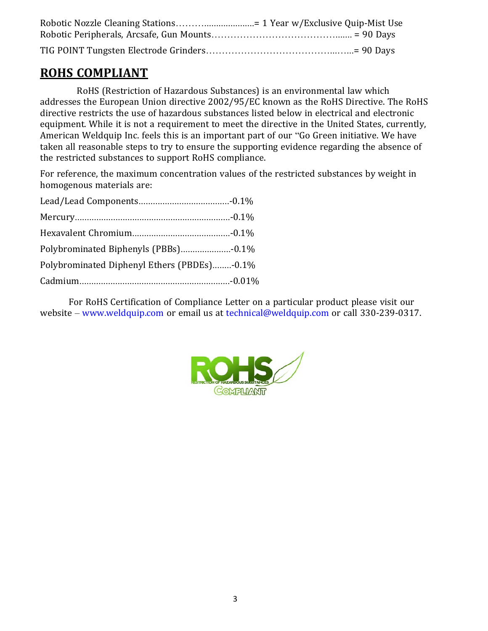# **ROHS COMPLIANT**

RoHS (Restriction of Hazardous Substances) is an environmental law which addresses the European Union directive 2002/95/EC known as the RoHS Directive. The RoHS directive restricts the use of hazardous substances listed below in electrical and electronic equipment. While it is not a requirement to meet the directive in the United States, currently, American Weldquip Inc. feels this is an important part of our "Go Green initiative. We have taken all reasonable steps to try to ensure the supporting evidence regarding the absence of the restricted substances to support RoHS compliance.

For reference, the maximum concentration values of the restricted substances by weight in homogenous materials are:

| Polybrominated Diphenyl Ethers (PBDEs)-0.1% |  |
|---------------------------------------------|--|
|                                             |  |

For RoHS Certification of Compliance Letter on a particular product please visit our website – www.weldquip.com or email us at technical@weldquip.com or call 330-239-0317.

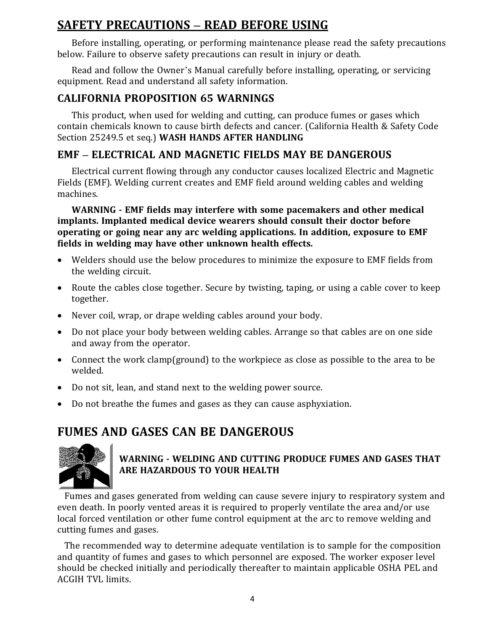# **SAFETY PRECAUTIONS – READ BEFORE USING**

Before installing, operating, or performing maintenance please read the safety precautions below. Failure to observe safety precautions can result in injury or death.

Read and follow the Owner's Manual carefully before installing, operating, or servicing equipment. Read and understand all safety information.

#### **CALIFORNIA PROPOSITION 65 WARNINGS**

This product, when used for welding and cutting, can produce fumes or gases which contain chemicals known to cause birth defects and cancer. (California Health & Safety Code Section 25249.5 et seq.) **WASH HANDS AFTER HANDLING**

# **EMF – ELECTRICAL AND MAGNETIC FIELDS MAY BE DANGEROUS**

Electrical current flowing through any conductor causes localized Electric and Magnetic Fields (EMF). Welding current creates and EMF field around welding cables and welding machines.

**WARNING ‐ EMF fields may interfere with some pacemakers and other medical implants. Implanted medical device wearers should consult their doctor before operating or going near any arc welding applications. In addition, exposure to EMF fields in welding may have other unknown health effects.**

- Welders should use the below procedures to minimize the exposure to EMF fields from the welding circuit.
- Route the cables close together. Secure by twisting, taping, or using a cable cover to keep together.
- Never coil, wrap, or drape welding cables around your body.
- Do not place your body between welding cables. Arrange so that cables are on one side and away from the operator.
- Connect the work clamp(ground) to the workpiece as close as possible to the area to be welded.
- Do not sit, lean, and stand next to the welding power source.
- Do not breathe the fumes and gases as they can cause asphyxiation.

# **FUMES AND GASES CAN BE DANGEROUS**



#### **WARNING ‐ WELDING AND CUTTING PRODUCE FUMES AND GASES THAT ARE HAZARDOUS TO YOUR HEALTH**

Fumes and gases generated from welding can cause severe injury to respiratory system and even death. In poorly vented areas it is required to properly ventilate the area and/or use local forced ventilation or other fume control equipment at the arc to remove welding and cutting fumes and gases.

The recommended way to determine adequate ventilation is to sample for the composition and quantity of fumes and gases to which personnel are exposed. The worker exposer level should be checked initially and periodically thereafter to maintain applicable OSHA PEL and ACGIH TVL limits.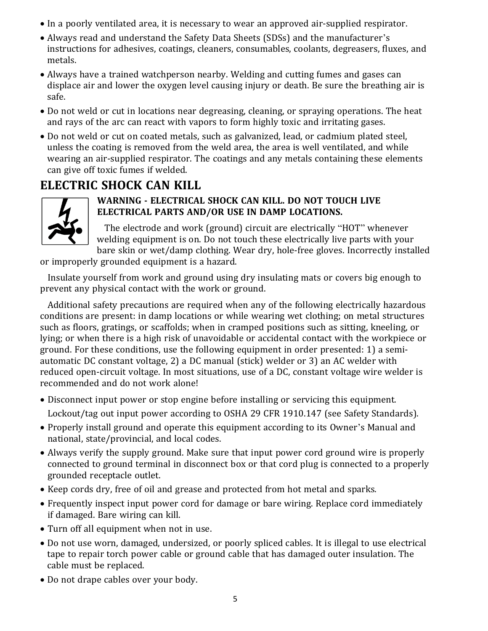- In a poorly ventilated area, it is necessary to wear an approved air-supplied respirator.
- Always read and understand the Safety Data Sheets (SDSs) and the manufacturer's instructions for adhesives, coatings, cleaners, consumables, coolants, degreasers, fluxes, and metals.
- Always have a trained watchperson nearby. Welding and cutting fumes and gases can displace air and lower the oxygen level causing injury or death. Be sure the breathing air is safe.
- Do not weld or cut in locations near degreasing, cleaning, or spraying operations. The heat and rays of the arc can react with vapors to form highly toxic and irritating gases.
- Do not weld or cut on coated metals, such as galvanized, lead, or cadmium plated steel, unless the coating is removed from the weld area, the area is well ventilated, and while wearing an air-supplied respirator. The coatings and any metals containing these elements can give off toxic fumes if welded.

# **ELECTRIC SHOCK CAN KILL**



#### **WARNING ‐ ELECTRICAL SHOCK CAN KILL. DO NOT TOUCH LIVE ELECTRICAL PARTS AND/OR USE IN DAMP LOCATIONS.**

The electrode and work (ground) circuit are electrically "HOT" whenever welding equipment is on. Do not touch these electrically live parts with your bare skin or wet/damp clothing. Wear dry, hole-free gloves. Incorrectly installed

or improperly grounded equipment is a hazard.

Insulate yourself from work and ground using dry insulating mats or covers big enough to prevent any physical contact with the work or ground.

Additional safety precautions are required when any of the following electrically hazardous conditions are present: in damp locations or while wearing wet clothing; on metal structures such as floors, gratings, or scaffolds; when in cramped positions such as sitting, kneeling, or lying; or when there is a high risk of unavoidable or accidental contact with the workpiece or ground. For these conditions, use the following equipment in order presented: 1) a semiautomatic DC constant voltage, 2) a DC manual (stick) welder or 3) an AC welder with reduced open-circuit voltage. In most situations, use of a DC, constant voltage wire welder is recommended and do not work alone!

- Disconnect input power or stop engine before installing or servicing this equipment. Lockout/tag out input power according to OSHA 29 CFR 1910.147 (see Safety Standards).
- Properly install ground and operate this equipment according to its Owner's Manual and national, state/provincial, and local codes.
- Always verify the supply ground. Make sure that input power cord ground wire is properly connected to ground terminal in disconnect box or that cord plug is connected to a properly grounded receptacle outlet.
- Keep cords dry, free of oil and grease and protected from hot metal and sparks.
- Frequently inspect input power cord for damage or bare wiring. Replace cord immediately if damaged. Bare wiring can kill.
- Turn off all equipment when not in use.
- Do not use worn, damaged, undersized, or poorly spliced cables. It is illegal to use electrical tape to repair torch power cable or ground cable that has damaged outer insulation. The cable must be replaced.
- Do not drape cables over your body.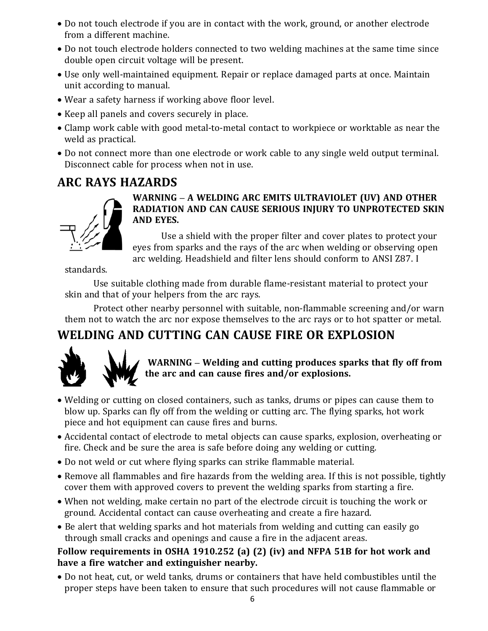- Do not touch electrode if you are in contact with the work, ground, or another electrode from a different machine.
- Do not touch electrode holders connected to two welding machines at the same time since double open circuit voltage will be present.
- Use only well-maintained equipment. Repair or replace damaged parts at once. Maintain unit according to manual.
- Wear a safety harness if working above floor level.
- Keep all panels and covers securely in place.
- Clamp work cable with good metal-to-metal contact to workpiece or worktable as near the weld as practical.
- Do not connect more than one electrode or work cable to any single weld output terminal. Disconnect cable for process when not in use.

# **ARC RAYS HAZARDS**

#### **WARNING – A WELDING ARC EMITS ULTRAVIOLET (UV) AND OTHER RADIATION AND CAN CAUSE SERIOUS INJURY TO UNPROTECTED SKIN AND EYES.**

Use a shield with the proper filter and cover plates to protect your eyes from sparks and the rays of the arc when welding or observing open arc welding. Headshield and filter lens should conform to ANSI Z87. I

standards.

Use suitable clothing made from durable flame-resistant material to protect your skin and that of your helpers from the arc rays.

Protect other nearby personnel with suitable, non-flammable screening and/or warn them not to watch the arc nor expose themselves to the arc rays or to hot spatter or metal.

# **WELDING AND CUTTING CAN CAUSE FIRE OR EXPLOSION**



**WARNING – Welding and cutting produces sparks that fly off from the arc and can cause fires and/or explosions.**

- Welding or cutting on closed containers, such as tanks, drums or pipes can cause them to blow up. Sparks can fly off from the welding or cutting arc. The flying sparks, hot work piece and hot equipment can cause fires and burns.
- Accidental contact of electrode to metal objects can cause sparks, explosion, overheating or fire. Check and be sure the area is safe before doing any welding or cutting.
- Do not weld or cut where flying sparks can strike flammable material.
- Remove all flammables and fire hazards from the welding area. If this is not possible, tightly cover them with approved covers to prevent the welding sparks from starting a fire.
- When not welding, make certain no part of the electrode circuit is touching the work or ground. Accidental contact can cause overheating and create a fire hazard.
- Be alert that welding sparks and hot materials from welding and cutting can easily go through small cracks and openings and cause a fire in the adjacent areas.

#### **Follow requirements in OSHA 1910.252 (a) (2) (iv) and NFPA 51B for hot work and have a fire watcher and extinguisher nearby.**

 Do not heat, cut, or weld tanks, drums or containers that have held combustibles until the proper steps have been taken to ensure that such procedures will not cause flammable or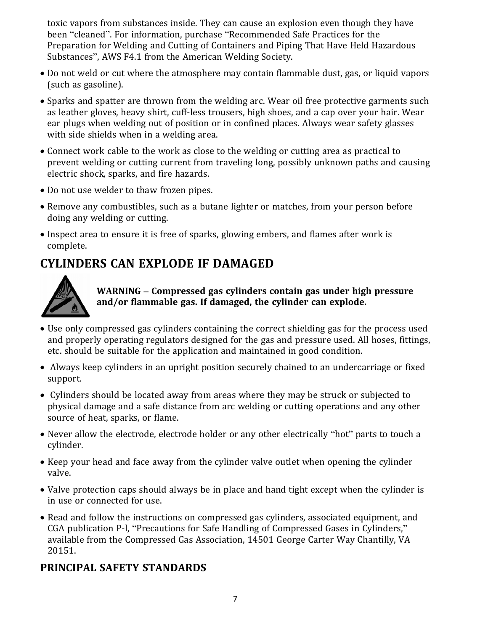toxic vapors from substances inside. They can cause an explosion even though they have been "cleaned". For information, purchase "Recommended Safe Practices for the Preparation for Welding and Cutting of Containers and Piping That Have Held Hazardous Substances", AWS F4.1 from the American Welding Society.

- Do not weld or cut where the atmosphere may contain flammable dust, gas, or liquid vapors (such as gasoline).
- Sparks and spatter are thrown from the welding arc. Wear oil free protective garments such as leather gloves, heavy shirt, cuff-less trousers, high shoes, and a cap over your hair. Wear ear plugs when welding out of position or in confined places. Always wear safety glasses with side shields when in a welding area.
- Connect work cable to the work as close to the welding or cutting area as practical to prevent welding or cutting current from traveling long, possibly unknown paths and causing electric shock, sparks, and fire hazards.
- Do not use welder to thaw frozen pipes.
- Remove any combustibles, such as a butane lighter or matches, from your person before doing any welding or cutting.
- Inspect area to ensure it is free of sparks, glowing embers, and flames after work is complete.

# **CYLINDERS CAN EXPLODE IF DAMAGED**



**WARNING – Compressed gas cylinders contain gas under high pressure and/or flammable gas. If damaged, the cylinder can explode.**

- Use only compressed gas cylinders containing the correct shielding gas for the process used and properly operating regulators designed for the gas and pressure used. All hoses, fittings, etc. should be suitable for the application and maintained in good condition.
- Always keep cylinders in an upright position securely chained to an undercarriage or fixed support.
- Cylinders should be located away from areas where they may be struck or subjected to physical damage and a safe distance from arc welding or cutting operations and any other source of heat, sparks, or flame.
- Never allow the electrode, electrode holder or any other electrically "hot" parts to touch a cylinder.
- Keep your head and face away from the cylinder valve outlet when opening the cylinder valve.
- Valve protection caps should always be in place and hand tight except when the cylinder is in use or connected for use.
- Read and follow the instructions on compressed gas cylinders, associated equipment, and CGA publication P-l, "Precautions for Safe Handling of Compressed Gases in Cylinders," available from the Compressed Gas Association, 14501 George Carter Way Chantilly, VA 20151.

#### **PRINCIPAL SAFETY STANDARDS**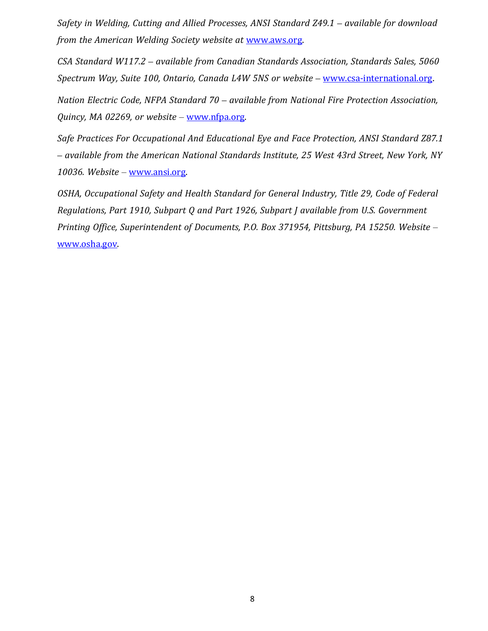*Safety in Welding, Cutting and Allied Processes, ANSI Standard Z49.1 – available for download from the American Welding Society website at* www.aws.org.

*CSA Standard W117.2 – available from Canadian Standards Association, Standards Sales, 5060 Spectrum Way, Suite 100, Ontario, Canada L4W 5NS or website –* www.csa-international.org.

*Nation Electric Code, NFPA Standard 70 – available from National Fire Protection Association, Quincy, MA 02269, or website* – www.nfpa.org.

*Safe Practices For Occupational And Educational Eye and Face Protection, ANSI Standard Z87.1 – available from the American National Standards Institute, 25 West 43rd Street, New York, NY 10036. Website* – www.ansi.org.

*OSHA, Occupational Safety and Health Standard for General Industry, Title 29, Code of Federal Regulations, Part 1910, Subpart Q and Part 1926, Subpart J available from U.S. Government Printing Office, Superintendent of Documents, P.O. Box 371954, Pittsburg, PA 15250. Website* – www.osha.gov.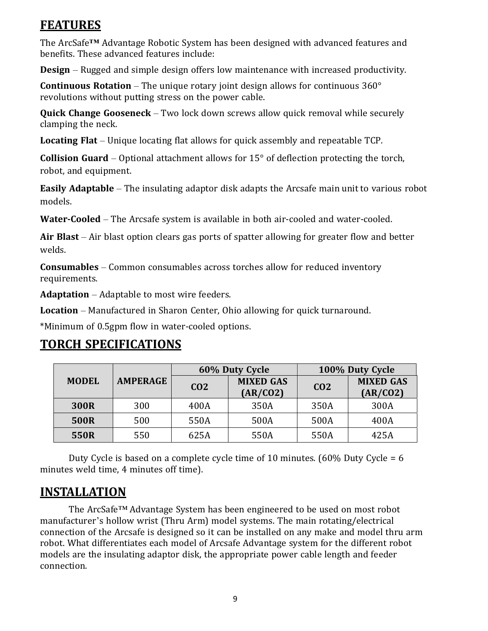# **FEATURES**

The ArcSafe**™** Advantage Robotic System has been designed with advanced features and benefits. These advanced features include:

**Design** – Rugged and simple design offers low maintenance with increased productivity.

**Continuous Rotation** – The unique rotary joint design allows for continuous 360° revolutions without putting stress on the power cable.

**Quick Change Gooseneck** – Two lock down screws allow quick removal while securely clamping the neck.

**Locating Flat** – Unique locating flat allows for quick assembly and repeatable TCP.

**Collision Guard** – Optional attachment allows for 15° of deflection protecting the torch, robot, and equipment.

**Easily Adaptable** – The insulating adaptor disk adapts the Arcsafe main unit to various robot models.

**Water‐Cooled** – The Arcsafe system is available in both air-cooled and water-cooled.

**Air Blast** – Air blast option clears gas ports of spatter allowing for greater flow and better welds.

**Consumables** – Common consumables across torches allow for reduced inventory requirements.

**Adaptation** – Adaptable to most wire feeders.

**Location** – Manufactured in Sharon Center, Ohio allowing for quick turnaround.

\*Minimum of 0.5gpm flow in water-cooled options.

# **TORCH SPECIFICATIONS**

|              | 60% Duty Cycle  |                 | 100% Duty Cycle              |                 |                              |
|--------------|-----------------|-----------------|------------------------------|-----------------|------------------------------|
| <b>MODEL</b> | <b>AMPERAGE</b> | CO <sub>2</sub> | <b>MIXED GAS</b><br>(AR/CO2) | CO <sub>2</sub> | <b>MIXED GAS</b><br>(AR/CO2) |
| 300R         | 300             | 400A            | 350A                         | 350A            | 300A                         |
| 500R         | 500             | 550A            | 500A                         | 500A            | 400A                         |
| 550R         | 550             | 625A            | 550A                         | 550A            | 425A                         |

Duty Cycle is based on a complete cycle time of 10 minutes. (60% Duty Cycle = 6 minutes weld time, 4 minutes off time).

# **INSTALLATION**

The ArcSafe™ Advantage System has been engineered to be used on most robot manufacturer's hollow wrist (Thru Arm) model systems. The main rotating/electrical connection of the Arcsafe is designed so it can be installed on any make and model thru arm robot. What differentiates each model of Arcsafe Advantage system for the different robot models are the insulating adaptor disk, the appropriate power cable length and feeder connection.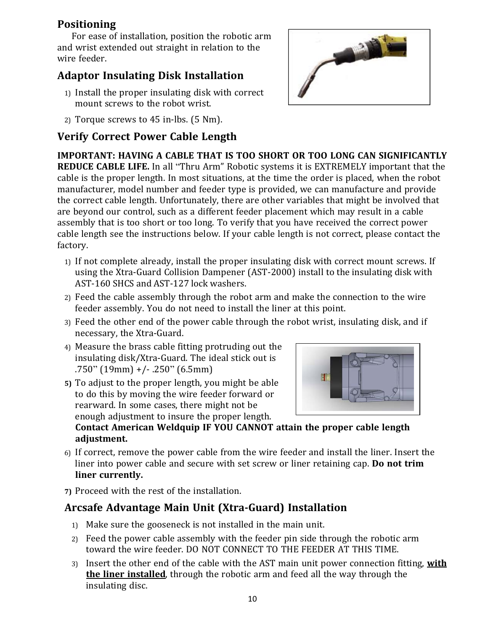#### **Positioning**

For ease of installation, position the robotic arm and wrist extended out straight in relation to the wire feeder.

# **Adaptor Insulating Disk Installation**

- 1) Install the proper insulating disk with correct mount screws to the robot wrist.
- 2) Torque screws to 45 in-lbs. (5 Nm).

# **Verify Correct Power Cable Length**

**IMPORTANT: HAVING A CABLE THAT IS TOO SHORT OR TOO LONG CAN SIGNIFICANTLY REDUCE CABLE LIFE.** In all "Thru Arm" Robotic systems it is EXTREMELY important that the cable is the proper length. In most situations, at the time the order is placed, when the robot manufacturer, model number and feeder type is provided, we can manufacture and provide the correct cable length. Unfortunately, there are other variables that might be involved that are beyond our control, such as a different feeder placement which may result in a cable assembly that is too short or too long. To verify that you have received the correct power cable length see the instructions below. If your cable length is not correct, please contact the factory.

- 1) If not complete already, install the proper insulating disk with correct mount screws. If using the Xtra-Guard Collision Dampener (AST-2000) install to the insulating disk with AST-160 SHCS and AST-127 lock washers.
- 2) Feed the cable assembly through the robot arm and make the connection to the wire feeder assembly. You do not need to install the liner at this point.
- 3) Feed the other end of the power cable through the robot wrist, insulating disk, and if necessary, the Xtra-Guard.
- 4) Measure the brass cable fitting protruding out the insulating disk/Xtra-Guard. The ideal stick out is .750" (19mm) +/- .250" (6.5mm)
- **5)** To adjust to the proper length, you might be able to do this by moving the wire feeder forward or rearward. In some cases, there might not be enough adjustment to insure the proper length.

**Contact American Weldquip IF YOU CANNOT attain the proper cable length adjustment.**

- 6) If correct, remove the power cable from the wire feeder and install the liner. Insert the liner into power cable and secure with set screw or liner retaining cap. **Do not trim liner currently.**
- **7)** Proceed with the rest of the installation.

#### **Arcsafe Advantage Main Unit (Xtra‐Guard) Installation**

- 1) Make sure the gooseneck is not installed in the main unit.
- 2) Feed the power cable assembly with the feeder pin side through the robotic arm toward the wire feeder. DO NOT CONNECT TO THE FEEDER AT THIS TIME.
- 3) Insert the other end of the cable with the AST main unit power connection fitting, **with the liner installed**, through the robotic arm and feed all the way through the insulating disc.



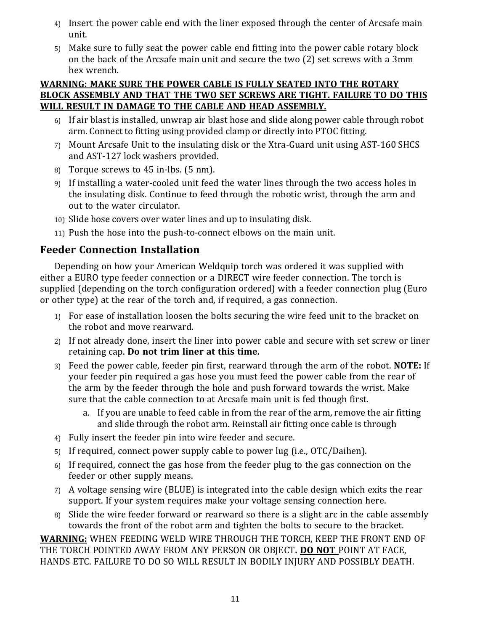- 4) Insert the power cable end with the liner exposed through the center of Arcsafe main unit.
- 5) Make sure to fully seat the power cable end fitting into the power cable rotary block on the back of the Arcsafe main unit and secure the two (2) set screws with a 3mm hex wrench.

#### **WARNING: MAKE SURE THE POWER CABLE IS FULLY SEATED INTO THE ROTARY BLOCK ASSEMBLY AND THAT THE TWO SET SCREWS ARE TIGHT. FAILURE TO DO THIS WILL RESULT IN DAMAGE TO THE CABLE AND HEAD ASSEMBLY.**

- 6) If air blast is installed, unwrap air blast hose and slide along power cable through robot arm. Connect to fitting using provided clamp or directly into PTOC fitting.
- 7) Mount Arcsafe Unit to the insulating disk or the Xtra-Guard unit using AST-160 SHCS and AST-127 lock washers provided.
- 8) Torque screws to 45 in-lbs. (5 nm).
- 9) If installing a water-cooled unit feed the water lines through the two access holes in the insulating disk. Continue to feed through the robotic wrist, through the arm and out to the water circulator.
- 10) Slide hose covers over water lines and up to insulating disk.
- 11) Push the hose into the push-to-connect elbows on the main unit.

#### **Feeder Connection Installation**

Depending on how your American Weldquip torch was ordered it was supplied with either a EURO type feeder connection or a DIRECT wire feeder connection. The torch is supplied (depending on the torch configuration ordered) with a feeder connection plug (Euro or other type) at the rear of the torch and, if required, a gas connection.

- 1) For ease of installation loosen the bolts securing the wire feed unit to the bracket on the robot and move rearward.
- 2) If not already done, insert the liner into power cable and secure with set screw or liner retaining cap. **Do not trim liner at this time.**
- 3) Feed the power cable, feeder pin first, rearward through the arm of the robot. **NOTE:** If your feeder pin required a gas hose you must feed the power cable from the rear of the arm by the feeder through the hole and push forward towards the wrist. Make sure that the cable connection to at Arcsafe main unit is fed though first.
	- a. If you are unable to feed cable in from the rear of the arm, remove the air fitting and slide through the robot arm. Reinstall air fitting once cable is through
- 4) Fully insert the feeder pin into wire feeder and secure.
- 5) If required, connect power supply cable to power lug (i.e., OTC/Daihen).
- 6) If required, connect the gas hose from the feeder plug to the gas connection on the feeder or other supply means.
- 7) A voltage sensing wire (BLUE) is integrated into the cable design which exits the rear support. If your system requires make your voltage sensing connection here.
- 8) Slide the wire feeder forward or rearward so there is a slight arc in the cable assembly towards the front of the robot arm and tighten the bolts to secure to the bracket.

**WARNING:** WHEN FEEDING WELD WIRE THROUGH THE TORCH, KEEP THE FRONT END OF THE TORCH POINTED AWAY FROM ANY PERSON OR OBJECT**. DO NOT** POINT AT FACE, HANDS ETC. FAILURE TO DO SO WILL RESULT IN BODILY INJURY AND POSSIBLY DEATH.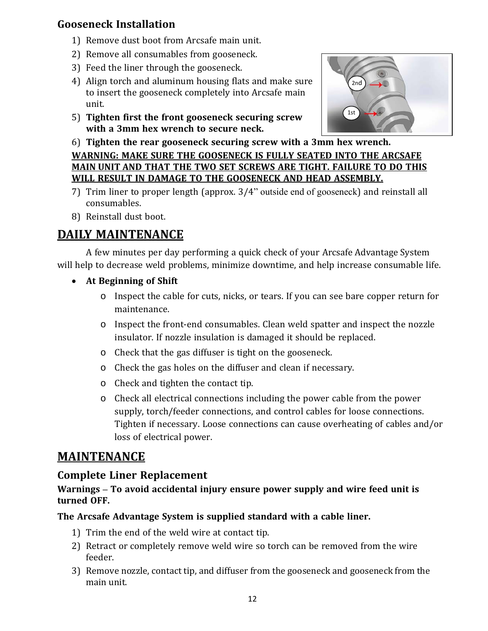#### **Gooseneck Installation**

- 1) Remove dust boot from Arcsafe main unit.
- 2) Remove all consumables from gooseneck.
- 3) Feed the liner through the gooseneck.
- 4) Align torch and aluminum housing flats and make sure to insert the gooseneck completely into Arcsafe main unit.
- 5) **Tighten first the front gooseneck securing screw with a 3mm hex wrench to secure neck.**



6) **Tighten the rear gooseneck securing screw with a 3mm hex wrench.**

**WARNING: MAKE SURE THE GOOSENECK IS FULLY SEATED INTO THE ARCSAFE MAIN UNIT AND THAT THE TWO SET SCREWS ARE TIGHT. FAILURE TO DO THIS WILL RESULT IN DAMAGE TO THE GOOSENECK AND HEAD ASSEMBLY.**

- 7) Trim liner to proper length (approx. 3/4" outside end of gooseneck) and reinstall all consumables.
- 8) Reinstall dust boot.

# **DAILY MAINTENANCE**

A few minutes per day performing a quick check of your Arcsafe Advantage System will help to decrease weld problems, minimize downtime, and help increase consumable life.

- **At Beginning of Shift**
	- o Inspect the cable for cuts, nicks, or tears. If you can see bare copper return for maintenance.
	- o Inspect the front-end consumables. Clean weld spatter and inspect the nozzle insulator. If nozzle insulation is damaged it should be replaced.
	- o Check that the gas diffuser is tight on the gooseneck.
	- o Check the gas holes on the diffuser and clean if necessary.
	- o Check and tighten the contact tip.
	- o Check all electrical connections including the power cable from the power supply, torch/feeder connections, and control cables for loose connections. Tighten if necessary. Loose connections can cause overheating of cables and/or loss of electrical power.

# **MAINTENANCE**

#### **Complete Liner Replacement**

#### **Warnings – To avoid accidental injury ensure power supply and wire feed unit is turned OFF.**

#### **The Arcsafe Advantage System is supplied standard with a cable liner.**

- 1) Trim the end of the weld wire at contact tip.
- 2) Retract or completely remove weld wire so torch can be removed from the wire feeder.
- 3) Remove nozzle, contact tip, and diffuser from the gooseneck and gooseneck from the main unit.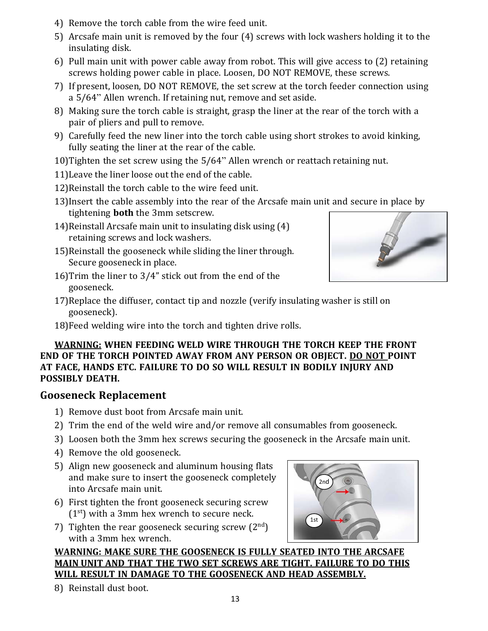- 4) Remove the torch cable from the wire feed unit.
- 5) Arcsafe main unit is removed by the four (4) screws with lock washers holding it to the insulating disk.
- 6) Pull main unit with power cable away from robot. This will give access to (2) retaining screws holding power cable in place. Loosen, DO NOT REMOVE, these screws.
- 7) If present, loosen, DO NOT REMOVE, the set screw at the torch feeder connection using a 5/64" Allen wrench. If retaining nut, remove and set aside.
- 8) Making sure the torch cable is straight, grasp the liner at the rear of the torch with a pair of pliers and pull to remove.
- 9) Carefully feed the new liner into the torch cable using short strokes to avoid kinking, fully seating the liner at the rear of the cable.
- 10)Tighten the set screw using the 5/64" Allen wrench or reattach retaining nut.
- 11)Leave the liner loose out the end of the cable.
- 12)Reinstall the torch cable to the wire feed unit.
- 13)Insert the cable assembly into the rear of the Arcsafe main unit and secure in place by tightening **both** the 3mm setscrew.
- 14)Reinstall Arcsafe main unit to insulating disk using (4) retaining screws and lock washers.
- 15)Reinstall the gooseneck while sliding the liner through. Secure gooseneck in place.
- 16)Trim the liner to 3/4" stick out from the end of the gooseneck.



- 17)Replace the diffuser, contact tip and nozzle (verify insulating washer is still on gooseneck).
- 18)Feed welding wire into the torch and tighten drive rolls.

#### **WARNING: WHEN FEEDING WELD WIRE THROUGH THE TORCH KEEP THE FRONT END OF THE TORCH POINTED AWAY FROM ANY PERSON OR OBJECT. DO NOT POINT AT FACE, HANDS ETC. FAILURE TO DO SO WILL RESULT IN BODILY INJURY AND POSSIBLY DEATH.**

#### **Gooseneck Replacement**

- 1) Remove dust boot from Arcsafe main unit.
- 2) Trim the end of the weld wire and/or remove all consumables from gooseneck.
- 3) Loosen both the 3mm hex screws securing the gooseneck in the Arcsafe main unit.
- 4) Remove the old gooseneck.
- 5) Align new gooseneck and aluminum housing flats and make sure to insert the gooseneck completely into Arcsafe main unit.
- 6) First tighten the front gooseneck securing screw  $(1<sup>st</sup>)$  with a 3mm hex wrench to secure neck.
- 7) Tighten the rear gooseneck securing screw  $(2<sup>nd</sup>)$ with a 3mm hex wrench.



**WARNING: MAKE SURE THE GOOSENECK IS FULLY SEATED INTO THE ARCSAFE MAIN UNIT AND THAT THE TWO SET SCREWS ARE TIGHT. FAILURE TO DO THIS WILL RESULT IN DAMAGE TO THE GOOSENECK AND HEAD ASSEMBLY.**

8) Reinstall dust boot.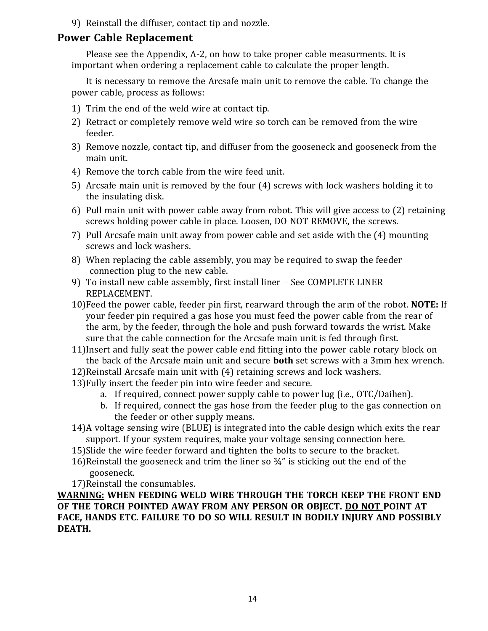9) Reinstall the diffuser, contact tip and nozzle.

#### **Power Cable Replacement**

Please see the Appendix, A-2, on how to take proper cable measurments. It is important when ordering a replacement cable to calculate the proper length.

It is necessary to remove the Arcsafe main unit to remove the cable. To change the power cable, process as follows:

- 1) Trim the end of the weld wire at contact tip.
- 2) Retract or completely remove weld wire so torch can be removed from the wire feeder.
- 3) Remove nozzle, contact tip, and diffuser from the gooseneck and gooseneck from the main unit.
- 4) Remove the torch cable from the wire feed unit.
- 5) Arcsafe main unit is removed by the four (4) screws with lock washers holding it to the insulating disk.
- 6) Pull main unit with power cable away from robot. This will give access to (2) retaining screws holding power cable in place. Loosen, DO NOT REMOVE, the screws.
- 7) Pull Arcsafe main unit away from power cable and set aside with the (4) mounting screws and lock washers.
- 8) When replacing the cable assembly, you may be required to swap the feeder connection plug to the new cable.
- 9) To install new cable assembly, first install liner See COMPLETE LINER REPLACEMENT.
- 10)Feed the power cable, feeder pin first, rearward through the arm of the robot. **NOTE:** If your feeder pin required a gas hose you must feed the power cable from the rear of the arm, by the feeder, through the hole and push forward towards the wrist. Make sure that the cable connection for the Arcsafe main unit is fed through first.
- 11)Insert and fully seat the power cable end fitting into the power cable rotary block on the back of the Arcsafe main unit and secure **both** set screws with a 3mm hex wrench.
- 12)Reinstall Arcsafe main unit with (4) retaining screws and lock washers.
- 13)Fully insert the feeder pin into wire feeder and secure.
	- a. If required, connect power supply cable to power lug (i.e., OTC/Daihen).
	- b. If required, connect the gas hose from the feeder plug to the gas connection on the feeder or other supply means.
- 14)A voltage sensing wire (BLUE) is integrated into the cable design which exits the rear support. If your system requires, make your voltage sensing connection here.
- 15)Slide the wire feeder forward and tighten the bolts to secure to the bracket.
- 16)Reinstall the gooseneck and trim the liner so ¾" is sticking out the end of the gooseneck.
- 17)Reinstall the consumables.

**WARNING: WHEN FEEDING WELD WIRE THROUGH THE TORCH KEEP THE FRONT END OF THE TORCH POINTED AWAY FROM ANY PERSON OR OBJECT. DO NOT POINT AT FACE, HANDS ETC. FAILURE TO DO SO WILL RESULT IN BODILY INJURY AND POSSIBLY DEATH.**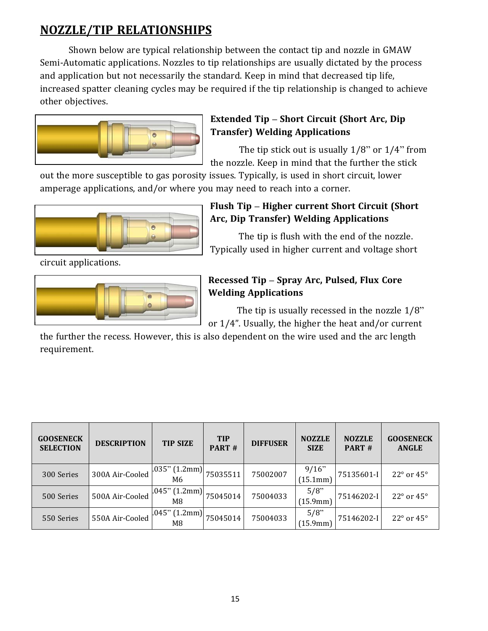# **NOZZLE/TIP RELATIONSHIPS**

Shown below are typical relationship between the contact tip and nozzle in GMAW Semi-Automatic applications. Nozzles to tip relationships are usually dictated by the process and application but not necessarily the standard. Keep in mind that decreased tip life, increased spatter cleaning cycles may be required if the tip relationship is changed to achieve other objectives.



#### **Extended Tip – Short Circuit (Short Arc, Dip Transfer) Welding Applications**

The tip stick out is usually  $1/8$ " or  $1/4$ " from the nozzle. Keep in mind that the further the stick

out the more susceptible to gas porosity issues. Typically, is used in short circuit, lower amperage applications, and/or where you may need to reach into a corner.



#### **Flush Tip – Higher current Short Circuit (Short Arc, Dip Transfer) Welding Applications**

The tip is flush with the end of the nozzle. Typically used in higher current and voltage short

circuit applications.



#### **Recessed Tip – Spray Arc, Pulsed, Flux Core Welding Applications**

The tip is usually recessed in the nozzle  $1/8$ " or 1/4". Usually, the higher the heat and/or current

the further the recess. However, this is also dependent on the wire used and the arc length requirement.

| <b>GOOSENECK</b><br><b>SELECTION</b> | <b>DESCRIPTION</b> | <b>TIP SIZE</b>        | <b>TIP</b><br>PART# | <b>DIFFUSER</b> | <b>NOZZLE</b><br><b>SIZE</b> | <b>NOZZLE</b><br>PART# | <b>GOOSENECK</b><br><b>ANGLE</b> |
|--------------------------------------|--------------------|------------------------|---------------------|-----------------|------------------------------|------------------------|----------------------------------|
| 300 Series                           | 300A Air-Cooled    | $.035"$ (1.2mm)<br>M6  | 75035511            | 75002007        | 9/16"<br>(15.1mm)            | 75135601-I             | $22^{\circ}$ or $45^{\circ}$     |
| 500 Series                           | 500A Air-Cooled    | $.045$ " (1.2mm)<br>M8 | 75045014            | 75004033        | 5/8<br>(15.9mm)              | 75146202-I             | $22^{\circ}$ or $45^{\circ}$     |
| 550 Series                           | 550A Air-Cooled    | $.045$ " (1.2mm)<br>M8 | 75045014            | 75004033        | 5/8<br>(15.9mm)              | 75146202-I             | $22^{\circ}$ or $45^{\circ}$     |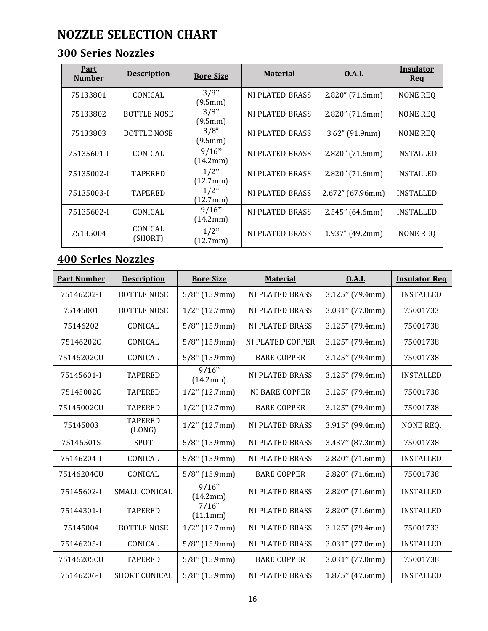# **NOZZLE SELECTION CHART**

# **300 Series Nozzles**

| <u>Part</u><br><b>Number</b> | <b>Description</b> | <b>Bore Size</b>    | <b>Material</b>        | <b>0.A.L</b>       | <b>Insulator</b><br><b>Req</b> |
|------------------------------|--------------------|---------------------|------------------------|--------------------|--------------------------------|
| 75133801                     | CONICAL            | 3/8"<br>(9.5mm)     | NI PLATED BRASS        | $2.820''$ (71.6mm) | NONE REQ                       |
| 75133802                     | <b>BOTTLE NOSE</b> | 3/8"<br>(9.5mm)     | NI PLATED BRASS        | $2.820''$ (71.6mm) | NONE REQ                       |
| 75133803                     | <b>BOTTLE NOSE</b> | 3/8"<br>(9.5mm)     | NI PLATED BRASS        | $3.62''$ (91.9mm)  | NONE REQ                       |
| 75135601-I                   | CONICAL            | 9/16"<br>(14.2mm)   | NI PLATED BRASS        | $2.820''$ (71.6mm) | <b>INSTALLED</b>               |
| 75135002-I                   | <b>TAPERED</b>     | 1/2"<br>(12.7mm)    | NI PLATED BRASS        | $2.820''$ (71.6mm) | INSTALLED                      |
| 75135003-I                   | <b>TAPERED</b>     | $1/2$ "<br>(12.7mm) | <b>NI PLATED BRASS</b> | 2.672'' (67.96mm)  | <b>INSTALLED</b>               |
| 75135602-I                   | CONICAL            | 9/16"<br>(14.2mm)   | NI PLATED BRASS        | 2.545''(64.6mm)    | <b>INSTALLED</b>               |
| 75135004                     | CONICAL<br>(SHORT) | $1/2$ "<br>(12.7mm) | NI PLATED BRASS        | $1.937''$ (49.2mm) | <b>NONE REQ</b>                |

# **400 Series Nozzles**

| <b>Part Number</b> | <b>Description</b>       | <b>Bore Size</b>  | <b>Material</b>        | 0.A.L              | <b>Insulator Req</b> |
|--------------------|--------------------------|-------------------|------------------------|--------------------|----------------------|
| 75146202-I         | <b>BOTTLE NOSE</b>       | $5/8$ " (15.9mm)  | <b>NI PLATED BRASS</b> | $3.125$ " (79.4mm) | <b>INSTALLED</b>     |
| 75145001           | <b>BOTTLE NOSE</b>       | $1/2$ " (12.7mm)  | <b>NI PLATED BRASS</b> | $3.031$ " (77.0mm) | 75001733             |
| 75146202           | CONICAL                  | $5/8$ " (15.9mm)  | <b>NI PLATED BRASS</b> | $3.125$ " (79.4mm) | 75001738             |
| 75146202C          | CONICAL                  | $5/8$ " (15.9mm)  | NI PLATED COPPER       | $3.125$ " (79.4mm) | 75001738             |
| 75146202CU         | CONICAL                  | $5/8$ " (15.9mm)  | <b>BARE COPPER</b>     | $3.125$ " (79.4mm) | 75001738             |
| 75145601-I         | <b>TAPERED</b>           | 9/16"<br>(14.2mm) | <b>NI PLATED BRASS</b> | $3.125$ " (79.4mm) | <b>INSTALLED</b>     |
| 75145002C          | <b>TAPERED</b>           | $1/2$ " (12.7mm)  | <b>NI BARE COPPER</b>  | $3.125$ " (79.4mm) | 75001738             |
| 75145002CU         | <b>TAPERED</b>           | $1/2$ " (12.7mm)  | <b>BARE COPPER</b>     | $3.125$ " (79.4mm) | 75001738             |
| 75145003           | <b>TAPERED</b><br>(LONG) | $1/2$ " (12.7mm)  | NI PLATED BRASS        | 3.915" (99.4mm)    | NONE REQ.            |
| 75146501S          | <b>SPOT</b>              | $5/8$ " (15.9mm)  | <b>NI PLATED BRASS</b> | 3.437" (87.3mm)    | 75001738             |
| 75146204-I         | CONICAL                  | $5/8$ " (15.9mm)  | <b>NI PLATED BRASS</b> | 2.820" (71.6mm)    | <b>INSTALLED</b>     |
| 75146204CU         | CONICAL                  | $5/8$ " (15.9mm)  | <b>BARE COPPER</b>     | 2.820" (71.6mm)    | 75001738             |
| 75145602-I         | SMALL CONICAL            | 9/16"<br>(14.2mm) | <b>NI PLATED BRASS</b> | $2.820$ " (71.6mm) | <b>INSTALLED</b>     |
| 75144301-I         | <b>TAPERED</b>           | 7/16"<br>(11.1mm) | <b>NI PLATED BRASS</b> | $2.820$ " (71.6mm) | <b>INSTALLED</b>     |
| 75145004           | <b>BOTTLE NOSE</b>       | $1/2$ " (12.7mm)  | <b>NI PLATED BRASS</b> | $3.125$ " (79.4mm) | 75001733             |
| 75146205-I         | CONICAL                  | $5/8$ " (15.9mm)  | <b>NI PLATED BRASS</b> | $3.031$ " (77.0mm) | <b>INSTALLED</b>     |
| 75146205CU         | <b>TAPERED</b>           | $5/8$ " (15.9mm)  | <b>BARE COPPER</b>     | $3.031$ " (77.0mm) | 75001738             |
| 75146206-I         | SHORT CONICAL            | $5/8$ " (15.9mm)  | <b>NI PLATED BRASS</b> | $1.875$ " (47.6mm) | <b>INSTALLED</b>     |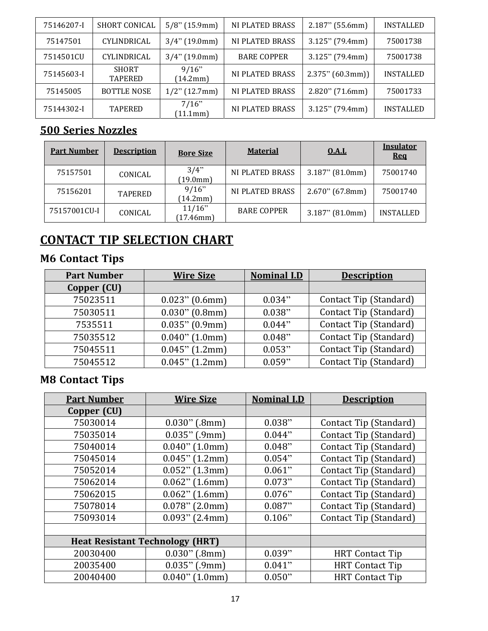| 75146207-I | <b>SHORT CONICAL</b>           | $5/8$ " (15.9mm)  | <b>NI PLATED BRASS</b> | $2.187$ " (55.6mm)  | <b>INSTALLED</b> |
|------------|--------------------------------|-------------------|------------------------|---------------------|------------------|
| 75147501   | CYLINDRICAL                    | $3/4$ " (19.0mm)  | <b>NI PLATED BRASS</b> | $3.125$ " (79.4mm)  | 75001738         |
| 7514501CU  | CYLINDRICAL                    | $3/4$ " (19.0mm)  | <b>BARE COPPER</b>     | $3.125$ " (79.4mm)  | 75001738         |
| 75145603-I | <b>SHORT</b><br><b>TAPERED</b> | 9/16"<br>(14.2mm) | <b>NI PLATED BRASS</b> | $2.375$ " (60.3mm)) | <b>INSTALLED</b> |
| 75145005   | <b>BOTTLE NOSE</b>             | $1/2$ " (12.7mm)  | <b>NI PLATED BRASS</b> | $2.820$ " (71.6mm)  | 75001733         |
| 75144302-I | <b>TAPERED</b>                 | 7/16"<br>(11.1mm) | <b>NI PLATED BRASS</b> | $3.125$ " (79.4mm)  | <b>INSTALLED</b> |

# **500 Series Nozzles**

| <b>Part Number</b> | <b>Description</b> | <b>Bore Size</b>       | <b>Material</b>        | <b>0.A.L</b>       | <b>Insulator</b><br><u>Req</u> |
|--------------------|--------------------|------------------------|------------------------|--------------------|--------------------------------|
| 75157501           | CONICAL            | 3/4"<br>(19.0mm)       | <b>NI PLATED BRASS</b> | $3.187$ " (81.0mm) | 75001740                       |
| 75156201           | <b>TAPERED</b>     | 9/16"<br>(14.2mm)      | <b>NI PLATED BRASS</b> | $2.670$ " (67.8mm) | 75001740                       |
| 75157001CU-I       | CONICAL            | 11/16"<br>$(17.46$ mm) | <b>BARE COPPER</b>     | $3.187$ " (81.0mm) | <b>INSTALLED</b>               |

# **CONTACT TIP SELECTION CHART**

# **M6 Contact Tips**

| <b>Part Number</b> | <b>Wire Size</b>  | <b>Nominal I.D</b> | <b>Description</b>     |
|--------------------|-------------------|--------------------|------------------------|
| Copper (CU)        |                   |                    |                        |
| 75023511           | $0.023$ " (0.6mm) | 0.034"             | Contact Tip (Standard) |
| 75030511           | $0.030$ " (0.8mm) | 0.038"             | Contact Tip (Standard) |
| 7535511            | $0.035$ " (0.9mm) | 0.044"             | Contact Tip (Standard) |
| 75035512           | $0.040$ " (1.0mm) | 0.048"             | Contact Tip (Standard) |
| 75045511           | $0.045$ " (1.2mm) | 0.053"             | Contact Tip (Standard) |
| 75045512           | $0.045$ " (1.2mm) | 0.059"             | Contact Tip (Standard) |

# **M8 Contact Tips**

| <b>Part Number</b>                     | <b>Wire Size</b>  | <b>Nominal I.D</b> | <b>Description</b>     |
|----------------------------------------|-------------------|--------------------|------------------------|
| Copper (CU)                            |                   |                    |                        |
| 75030014                               | $0.030$ " (.8mm)  | 0.038"             | Contact Tip (Standard) |
| 75035014                               | $0.035$ " (.9mm)  | 0.044"             | Contact Tip (Standard) |
| 75040014                               | $0.040$ " (1.0mm) | 0.048"             | Contact Tip (Standard) |
| 75045014                               | $0.045$ " (1.2mm) | 0.054"             | Contact Tip (Standard) |
| 75052014                               | $0.052$ " (1.3mm) | 0.061"             | Contact Tip (Standard) |
| 75062014                               | $0.062$ " (1.6mm) | 0.073"             | Contact Tip (Standard) |
| 75062015                               | $0.062$ " (1.6mm) | 0.076"             | Contact Tip (Standard) |
| 75078014                               | $0.078$ " (2.0mm) | 0.087"             | Contact Tip (Standard) |
| 75093014                               | $0.093$ " (2.4mm) | 0.106"             | Contact Tip (Standard) |
|                                        |                   |                    |                        |
| <b>Heat Resistant Technology (HRT)</b> |                   |                    |                        |
| 20030400                               | $0.030$ " (.8mm)  | 0.039"             | <b>HRT</b> Contact Tip |
| 20035400                               | $0.035$ " (.9mm)  | 0.041"             | <b>HRT</b> Contact Tip |
| 20040400                               | $0.040$ " (1.0mm) | 0.050"             | <b>HRT</b> Contact Tip |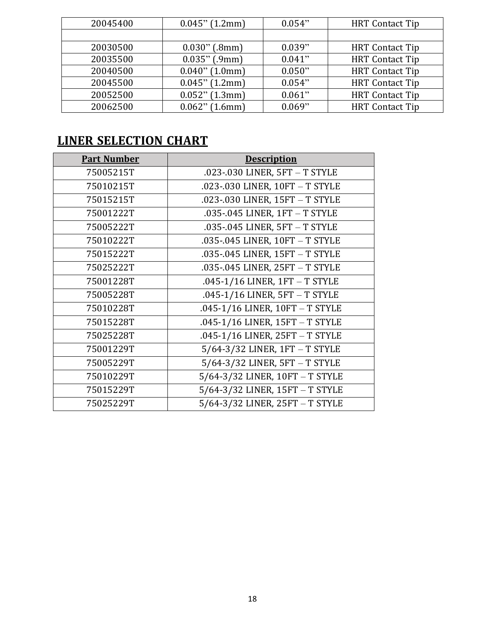| 20045400 | $0.045$ " (1.2mm) | 0.054" | <b>HRT</b> Contact Tip |
|----------|-------------------|--------|------------------------|
|          |                   |        |                        |
| 20030500 | $0.030$ " (.8mm)  | 0.039" | <b>HRT</b> Contact Tip |
| 20035500 | $0.035"$ (.9mm)   | 0.041" | <b>HRT</b> Contact Tip |
| 20040500 | $0.040$ " (1.0mm) | 0.050" | <b>HRT</b> Contact Tip |
| 20045500 | $0.045$ " (1.2mm) | 0.054" | <b>HRT</b> Contact Tip |
| 20052500 | $0.052$ " (1.3mm) | 0.061" | <b>HRT</b> Contact Tip |
| 20062500 | $0.062$ " (1.6mm) | 0.069" | <b>HRT</b> Contact Tip |

# **LINER SELECTION CHART**

| <b>Part Number</b> | <b>Description</b>                    |
|--------------------|---------------------------------------|
| 75005215T          | .023-.030 LINER, 5FT - T STYLE        |
| 75010215T          | .023-.030 LINER, 10FT - T STYLE       |
| 75015215T          | .023-.030 LINER, 15FT - T STYLE       |
| 75001222T          | .035-.045 LINER, 1FT - T STYLE        |
| 75005222T          | .035-.045 LINER, 5FT - T STYLE        |
| 75010222T          | .035-.045 LINER, 10FT - T STYLE       |
| 75015222T          | .035-.045 LINER, 15FT - T STYLE       |
| 75025222T          | .035-.045 LINER, 25FT - T STYLE       |
| 75001228T          | .045-1/16 LINER, 1FT - T STYLE        |
| 75005228T          | .045-1/16 LINER, 5FT - T STYLE        |
| 75010228T          | .045-1/16 LINER, 10FT - T STYLE       |
| 75015228T          | .045-1/16 LINER, 15FT - T STYLE       |
| 75025228T          | .045-1/16 LINER, 25FT - T STYLE       |
| 75001229T          | $5/64-3/32$ LINER, $1FT - T$ STYLE    |
| 75005229T          | $5/64-3/32$ LINER, $5FT - T$ STYLE    |
| 75010229T          | $5/64 - 3/32$ LINER, $10FT - T$ STYLE |
| 75015229T          | 5/64-3/32 LINER, 15FT - T STYLE       |
| 75025229T          | 5/64-3/32 LINER, 25FT - T STYLE       |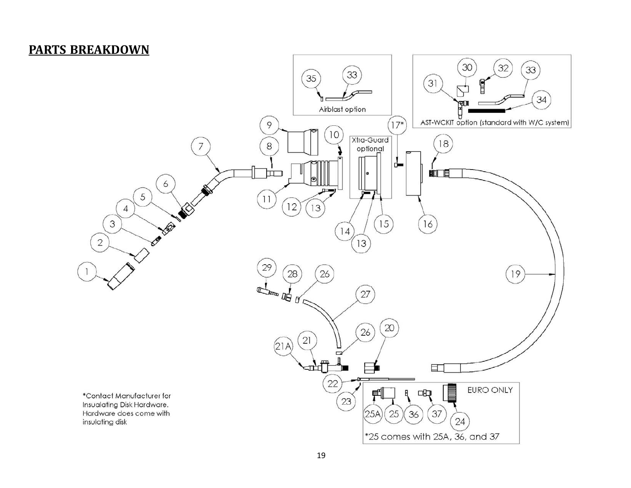#### **PARTS BREAKDOWN**

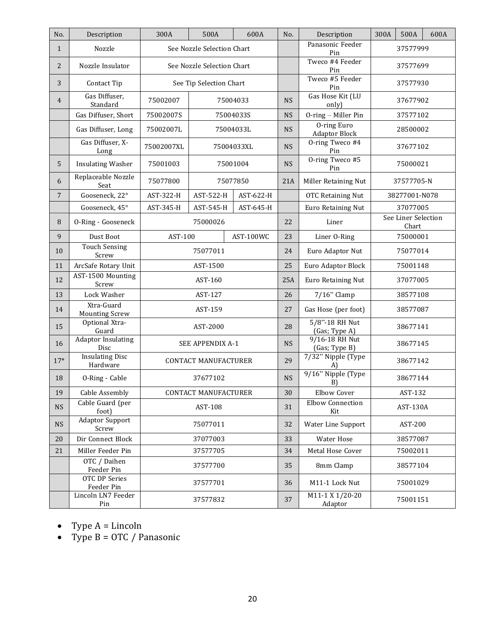| No.            | Description                         | 300A                        | 500A                             | 600A       | No.                             | Description                                | 300A                         | 500A          | 600A |
|----------------|-------------------------------------|-----------------------------|----------------------------------|------------|---------------------------------|--------------------------------------------|------------------------------|---------------|------|
| $\mathbf{1}$   | Nozzle                              | See Nozzle Selection Chart  |                                  |            | Panasonic Feeder<br>Pin         | 37577999                                   |                              |               |      |
| $\overline{2}$ | Nozzle Insulator                    | See Nozzle Selection Chart  |                                  |            | Tweco #4 Feeder<br>Pin          | 37577699                                   |                              |               |      |
| 3              | Contact Tip                         | See Tip Selection Chart     |                                  |            | Tweco #5 Feeder<br>Pin          | 37577930                                   |                              |               |      |
| 4              | Gas Diffuser,<br>Standard           | 75002007                    |                                  | 75004033   | <b>NS</b>                       | Gas Hose Kit (LU<br>only)                  | 37677902                     |               |      |
|                | Gas Diffuser, Short                 | 75002007S                   |                                  | 75004033S  | <b>NS</b>                       | O-ring - Miller Pin                        | 37577102                     |               |      |
|                | Gas Diffuser, Long                  | 75002007L                   | 75004033L                        |            | <b>NS</b>                       | <b>O-ring Euro</b><br><b>Adaptor Block</b> | 28500002                     |               |      |
|                | Gas Diffuser, X-<br>Long            | 75002007XL                  |                                  | 75004033XL | <b>NS</b>                       | O-ring Tweco #4<br>Pin                     | 37677102                     |               |      |
| 5              | <b>Insulating Washer</b>            | 75001003                    | 75001004                         |            | <b>NS</b>                       | 0-ring Tweco #5<br>Pin                     | 75000021                     |               |      |
| 6              | Replaceable Nozzle<br>Seat          | 75077800                    |                                  | 75077850   | 21A                             | Miller Retaining Nut                       |                              | 37577705-N    |      |
| 7              | Gooseneck, 22°                      | AST-322-H                   | AST-522-H                        | AST-622-H  |                                 | OTC Retaining Nut                          |                              | 38277001-N078 |      |
|                | Gooseneck, 45°                      | AST-345-H                   | AST-545-H                        | AST-645-H  |                                 | Euro Retaining Nut                         |                              | 37077005      |      |
| 8              | O-Ring - Gooseneck                  |                             | 75000026                         |            | 22                              | Liner                                      | See Liner Selection<br>Chart |               |      |
| 9              | Dust Boot                           | AST-100<br>AST-100WC        |                                  | 23         | Liner O-Ring                    | 75000001                                   |                              |               |      |
| 10             | <b>Touch Sensing</b><br>Screw       | 75077011                    |                                  | 24         | Euro Adaptor Nut                | 75077014                                   |                              |               |      |
| 11             | ArcSafe Rotary Unit                 | AST-1500                    |                                  | 25         | Euro Adaptor Block              | 75001148                                   |                              |               |      |
| 12             | AST-1500 Mounting<br>Screw          | AST-160                     |                                  | 25A        | Euro Retaining Nut              | 37077005                                   |                              |               |      |
| 13             | Lock Washer                         | AST-127                     |                                  | 26         | $7/16$ " Clamp                  | 38577108                                   |                              |               |      |
| 14             | Xtra-Guard<br><b>Mounting Screw</b> |                             | AST-159                          |            | 27                              | Gas Hose (per foot)                        | 38577087                     |               |      |
| 15             | Optional Xtra-<br>Guard             | AST-2000                    |                                  | 28         | 5/8"-18 RH Nut<br>(Gas; Type A) | 38677141                                   |                              |               |      |
| 16             | <b>Adaptor Insulating</b><br>Disc   |                             | SEE APPENDIX A-1                 |            | <b>NS</b>                       | 9/16-18 RH Nut<br>(Gas; Type B)            | 38677145                     |               |      |
| $17*$          | <b>Insulating Disc</b><br>Hardware  | <b>CONTACT MANUFACTURER</b> |                                  | 29         | 7/32" Nipple (Type<br>A)        | 38677142                                   |                              |               |      |
| 18             | O-Ring - Cable                      | 37677102                    |                                  | <b>NS</b>  | 9/16" Nipple (Type<br>B)        | 38677144                                   |                              |               |      |
| 19             | Cable Assembly                      | <b>CONTACT MANUFACTURER</b> |                                  | 30         | <b>Elbow Cover</b>              | AST-132                                    |                              |               |      |
| <b>NS</b>      | Cable Guard (per<br>foot)           | AST-108                     |                                  | 31         | <b>Elbow Connection</b><br>Kit  | AST-130A                                   |                              |               |      |
| $\mathbf{NS}$  | <b>Adaptor Support</b><br>Screw     | 75077011                    |                                  | 32         | Water Line Support              | AST-200                                    |                              |               |      |
| 20             | Dir Connect Block                   | 37077003                    |                                  | 33         | <b>Water Hose</b>               | 38577087                                   |                              |               |      |
| 21             | Miller Feeder Pin                   | 37577705                    |                                  | 34         | Metal Hose Cover                | 75002011                                   |                              |               |      |
|                | OTC / Daihen<br>Feeder Pin          | 37577700                    |                                  | 35         | 8mm Clamp                       | 38577104                                   |                              |               |      |
|                | OTC DP Series<br>Feeder Pin         |                             | 37577701<br>M11-1 Lock Nut<br>36 |            | 75001029                        |                                            |                              |               |      |
|                | Lincoln LN7 Feeder<br>Pin           |                             | 37577832                         |            | 37                              | M11-1 X 1/20-20<br>Adaptor                 | 75001151                     |               |      |

- Type  $A =$  Lincoln
- Type  $B = OTC / Panasonic$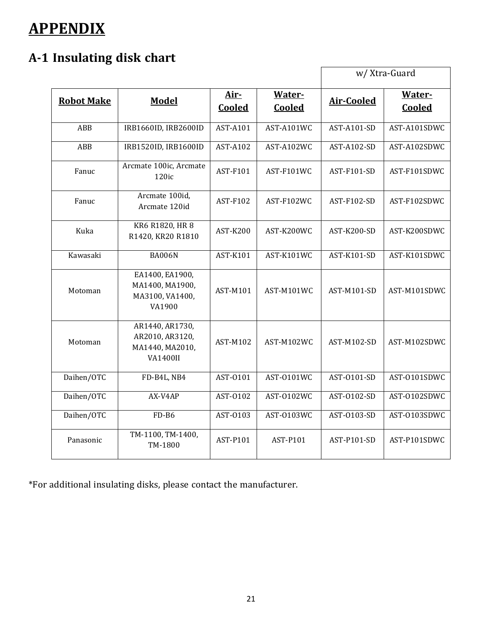# **APPENDIX**

# **A‐1 Insulating disk chart**

|                   |                                                                          |                 |                         | w/ Xtra-Guard      |                  |  |
|-------------------|--------------------------------------------------------------------------|-----------------|-------------------------|--------------------|------------------|--|
| <b>Robot Make</b> | <b>Model</b>                                                             | Air-<br>Cooled  | Water-<br><b>Cooled</b> | <b>Air-Cooled</b>  | Water-<br>Cooled |  |
| ABB               | IRB1660ID, IRB2600ID                                                     | AST-A101        | AST-A101WC              | AST-A101-SD        | AST-A101SDWC     |  |
| <b>ABB</b>        | IRB1520ID, IRB1600ID                                                     | <b>AST-A102</b> | AST-A102WC              | <b>AST-A102-SD</b> | AST-A102SDWC     |  |
| Fanuc             | Arcmate 100ic, Arcmate<br>120ic                                          | AST-F101        | AST-F101WC              | AST-F101-SD        | AST-F101SDWC     |  |
| Fanuc             | Arcmate 100id,<br>Arcmate 120id                                          | AST-F102        | AST-F102WC              | AST-F102-SD        | AST-F102SDWC     |  |
| Kuka              | KR6 R1820, HR 8<br>R1420, KR20 R1810                                     | <b>AST-K200</b> | AST-K200WC              | AST-K200-SD        | AST-K200SDWC     |  |
| Kawasaki          | <b>BA006N</b>                                                            | AST-K101        | AST-K101WC              | <b>AST-K101-SD</b> | AST-K101SDWC     |  |
| Motoman           | EA1400, EA1900,<br>MA1400, MA1900,<br>MA3100, VA1400,<br>VA1900          | AST-M101        | AST-M101WC              | AST-M101-SD        | AST-M101SDWC     |  |
| Motoman           | AR1440, AR1730,<br>AR2010, AR3120,<br>MA1440, MA2010,<br><b>VA1400II</b> | <b>AST-M102</b> | AST-M102WC              | AST-M102-SD        | AST-M102SDWC     |  |
| Daihen/OTC        | FD-B4L, NB4                                                              | AST-0101        | AST-0101WC              | AST-0101-SD        | AST-0101SDWC     |  |
| Daihen/OTC        | AX-V4AP                                                                  | AST-0102        | AST-0102WC              | AST-0102-SD        | AST-0102SDWC     |  |
| Daihen/OTC        | FD-B6                                                                    | AST-0103        | AST-0103WC              | AST-0103-SD        | AST-0103SDWC     |  |
| Panasonic         | TM-1100, TM-1400,<br>TM-1800                                             | AST-P101        | AST-P101                | AST-P101-SD        | AST-P101SDWC     |  |

\*For additional insulating disks, please contact the manufacturer.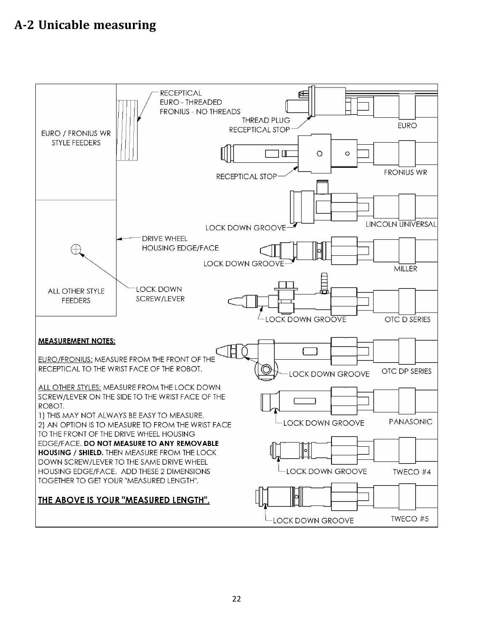# **A‐2 Unicable measuring**

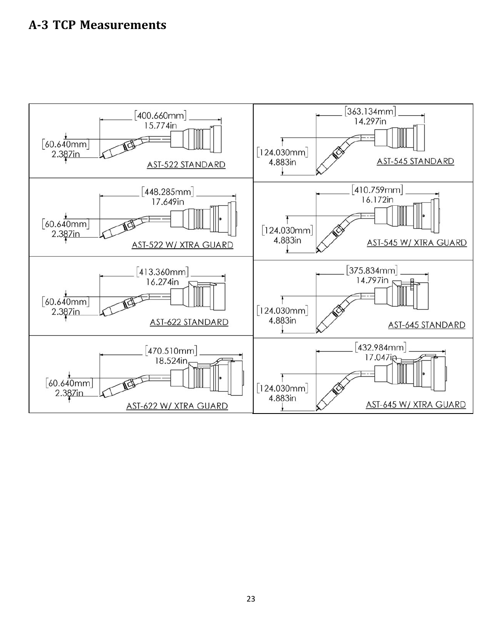# **A‐3 TCP Measurements**